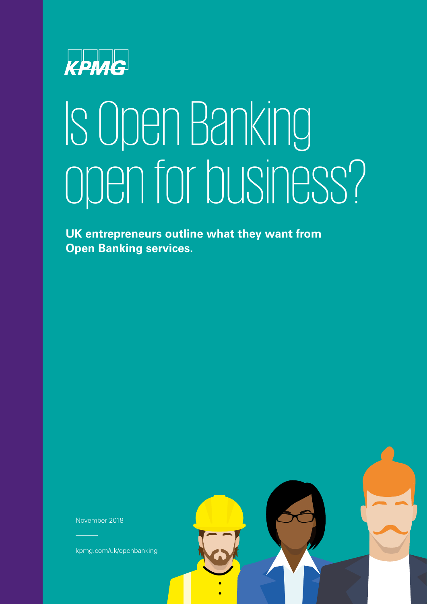

# Is Open Banking open for business?

**UK entrepreneurs outline what they want from Open Banking services.** 

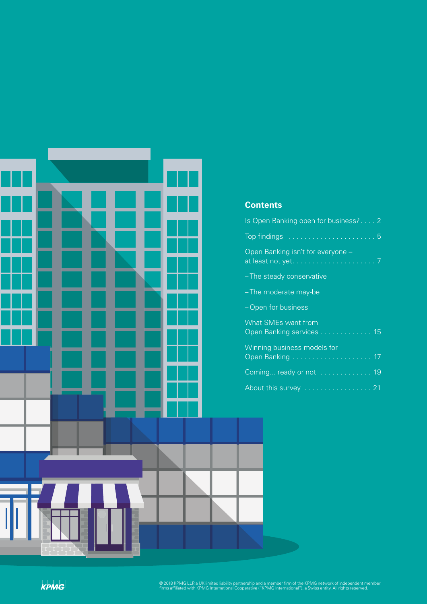

### **Contents**

| Is Open Banking open for business? 2                   |
|--------------------------------------------------------|
|                                                        |
| Open Banking isn't for everyone -                      |
| - The steady conservative                              |
| -The moderate may-be                                   |
| -Open for business                                     |
| <b>What SMEs want from</b><br>Open Banking services 15 |
| Winning business models for                            |
| Coming ready or not  19                                |
| About this survey  21                                  |
|                                                        |

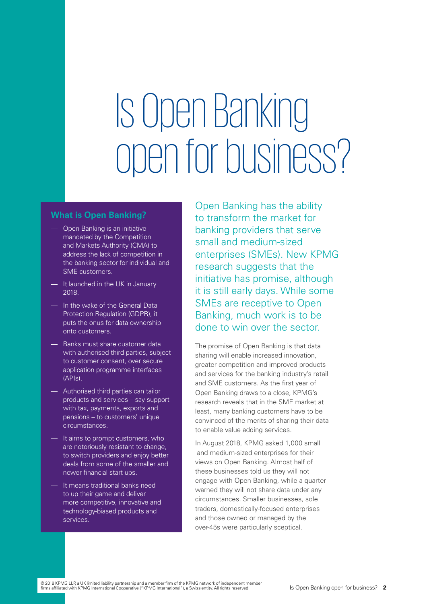# Is Open Banking open for business?

#### **What is Open Banking?**

- Open Banking is an initiative mandated by the Competition and Markets Authority (CMA) to address the lack of competition in the banking sector for individual and SME customers.
- It launched in the UK in January 2018.
- —— In the wake of the General Data Protection Regulation (GDPR), it puts the onus for data ownership onto customers.
- Banks must share customer data with authorised third parties, subject to customer consent, over secure application programme interfaces (APIs).
- Authorised third parties can tailor products and services – say support with tax, payments, exports and pensions – to customers' unique circumstances.
- It aims to prompt customers, who are notoriously resistant to change, to switch providers and enjoy better deals from some of the smaller and newer financial start-ups.
- It means traditional banks need to up their game and deliver more competitive, innovative and technology-biased products and services.

Open Banking has the ability to transform the market for banking providers that serve small and medium-sized enterprises (SMEs). New KPMG research suggests that the initiative has promise, although it is still early days. While some SMEs are receptive to Open Banking, much work is to be done to win over the sector.

The promise of Open Banking is that data sharing will enable increased innovation, greater competition and improved products and services for the banking industry's retail and SME customers. As the first year of Open Banking draws to a close, KPMG's research reveals that in the SME market at least, many banking customers have to be convinced of the merits of sharing their data to enable value adding services.

In August 2018, KPMG asked 1,000 small and medium-sized enterprises for their views on Open Banking. Almost half of these businesses told us they will not engage with Open Banking, while a quarter warned they will not share data under any circumstances. Smaller businesses, sole traders, domestically-focused enterprises and those owned or managed by the over-45s were particularly sceptical.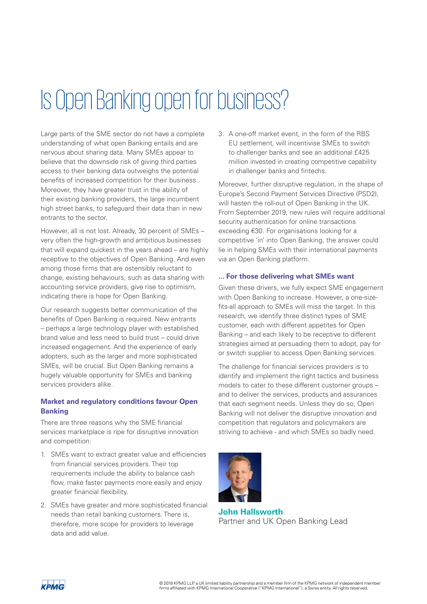# Is Open Banking open for business?

Large parts of the SME sector do not have a complete understanding of what open Banking entails and are nervous about sharing data. Many SMEs appear to believe that the downside risk of giving third parties access to their banking data outweighs the potential benefits of increased competition for their business. Moreover, they have greater trust in the ability of their existing banking providers, the large incumbent high street banks, to safeguard their data than in new entrants to the sector.

However, all is not lost. Already, 30 percent of SMEs – very often the high-growth and ambitious businesses that will expand quickest in the years ahead – are highly receptive to the objectives of Open Banking. And even among those firms that are ostensibly reluctant to change, existing behaviours, such as data sharing with accounting service providers, give rise to optimism, indicating there is hope for Open Banking.

Our research suggests better communication of the benefits of Open Banking is required. New entrants – perhaps a large technology player with established brand value and less need to build trust – could drive increased engagement. And the experience of early adopters, such as the larger and more sophisticated SMEs, will be crucial. But Open Banking remains a hugely valuable opportunity for SMEs and banking services providers alike.

#### **Market and regulatory conditions favour Open Banking**

There are three reasons why the SME financial services marketplace is ripe for disruptive innovation and competition:

- 1. SMEs want to extract greater value and efficiencies from financial services providers. Their top requirements include the ability to balance cash flow, make faster payments more easily and enjoy greater financial flexibility.
- 2. SMEs have greater and more sophisticated fnancial needs than retail banking customers. There is, therefore, more scope for providers to leverage data and add value.

3. A one-off market event, in the form of the RBS EU settlement, will incentivise SMEs to switch to challenger banks and see an additional £425 million invested in creating competitive capability in challenger banks and fintechs.

Moreover, further disruptive regulation, in the shape of Europe's Second Payment Services Directive (PSD2), will hasten the roll-out of Open Banking in the UK. From September 2019, new rules will require additional security authentication for online transactions exceeding €30. For organisations looking for a competitive 'in' into Open Banking, the answer could lie in helping SMEs with their international payments via an Open Banking platform.

#### **... For those delivering what SMEs want**

Given these drivers, we fully expect SME engagement with Open Banking to increase. However, a one-sizefits-all approach to SMEs will miss the target. In this research, we identify three distinct types of SME customer, each with different appetites for Open Banking – and each likely to be receptive to different strategies aimed at persuading them to adopt, pay for or switch supplier to access Open Banking services.

The challenge for financial services providers is to identify and implement the right tactics and business models to cater to these different customer groups – and to deliver the services, products and assurances that each segment needs. Unless they do so, Open Banking will not deliver the disruptive innovation and competition that regulators and policymakers are striving to achieve - and which SMEs so badly need.



**John Hallsworth**  Partner and UK Open Banking Lead

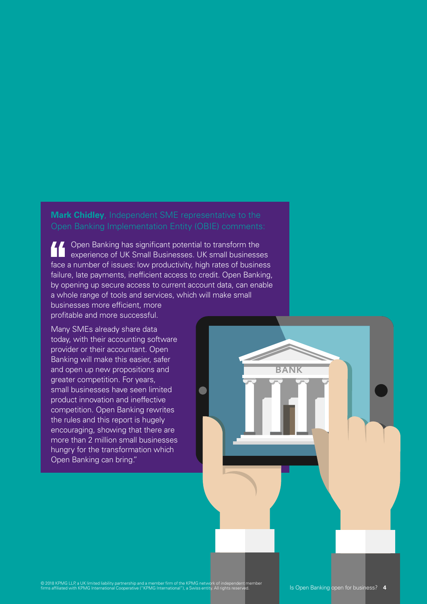### **Mark Chidley**, Independent SME representative to the Open Banking Implementation Entity (OBIE) comments:

Open Banking has significant potential to transform the  $\mathsf H$  $\overline{\phantom{0}}$ experience of UK Small Businesses. UK small businesses face a number of issues: low productivity, high rates of business failure, late payments, inefficient access to credit. Open Banking, by opening up secure access to current account data, can enable a whole range of tools and services, which will make small businesses more efficient, more profitable and more successful.

 $\overline{\phantom{a}}$ 

**BANK** 

Many SMEs already share data today, with their accounting software provider or their accountant. Open Banking will make this easier, safer and open up new propositions and greater competition. For years, small businesses have seen limited product innovation and ineffective competition. Open Banking rewrites the rules and this report is hugely encouraging, showing that there are more than 2 million small businesses hungry for the transformation which Open Banking can bring."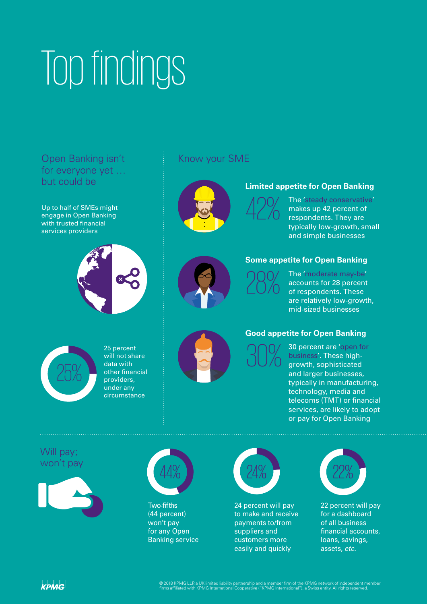# Top findings

# Open Banking isn't for everyone yet … but could be

Up to half of SMEs might engage in Open Banking with trusted financial services providers



## Know your SME



### **Limited appetite for Open Banking**

- typically low-growth, small The 'steady conservative' makes up 42 percent of<br>respondents. They are and simple businesses

### **Some appetite for Open Banking**

are relatively low-growth, - mid-sized businesses The 'moderate may-be' accounts for 28 percent<br>of respondents. These



25 percent will not share data with other financial providers, under any circumstance



#### **Good appetite for Open Banking**

30 percent are 'open for<br>business'. These high-<br>growth, sophisticated business'. These highgrowth, sophisticated and larger businesses. typically in manufacturing, technology, media and telecoms (TMT) or financial services, are likely to adopt or pay for Open Banking

### Will pay; won't pay





Two-fifths (44 percent) won't pay for any Open Banking service



24 percent will pay to make and receive payments to/from suppliers and customers more easily and quickly



22 percent will pay for a dashboard of all business financial accounts, loans, savings, assets, *etc*.

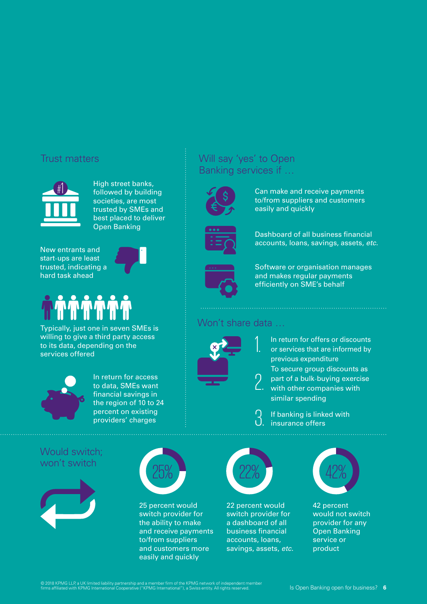# Trust matters



#1 High street banks, followed by building societies, are most trusted by SMEs and best placed to deliver Open Banking

- start-ups are least New entrants and trusted, indicating a hard task ahead



# **NTA**

Typically, just one in seven SMEs is willing to give a third party access to its data, depending on the services offered



In return for access to data, SMEs want financial savings in the region of 10 to 24 percent on existing providers' charges

## Would switch; won't switch



25 percent would switch provider for the ability to make and receive payments to/from suppliers and customers more easily and quickly

# Will say 'yes' to Open Banking services if …



Can make and receive payments to/from suppliers and customers easily and quickly



Dashboard of all business fnancial accounts, loans, savings, assets, *etc*.



Software or organisation manages and makes regular payments efficiently on SME's behalf

# Won't share data …

1.



explansive group discounts<br>  $\alpha$  part of a bulk-buying exerc<br>  $\alpha$  with other companies with In return for offers or discounts or services that are informed by previous expenditure To secure group discounts as part of a bulk-buying exercise similar spending

If banking is linked with insurance offers



22 percent would switch provider for a dashboard of all business fnancial accounts, loans, savings, assets, *etc*.



42 percent would not switch provider for any Open Banking service or product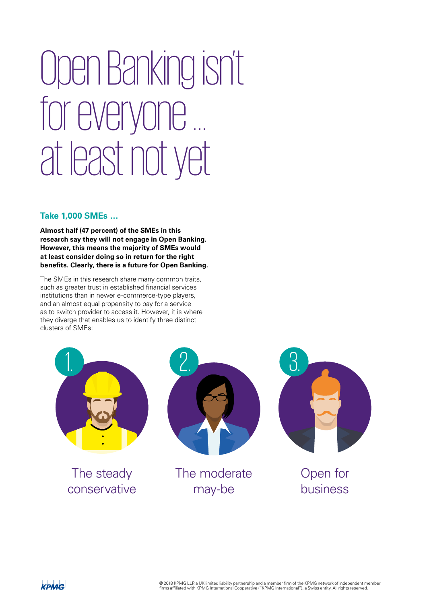# Open Banking isn't for everyone … at least not yet

#### **Take 1,000 SMEs …**

**Almost half (47 percent) of the SMEs in this research say they will not engage in Open Banking. However, this means the majority of SMEs would at least consider doing so in return for the right benefts. Clearly, there is a future for Open Banking.** 

The SMEs in this research share many common traits, such as greater trust in established financial services institutions than in newer e-commerce-type players, and an almost equal propensity to pay for a service as to switch provider to access it. However, it is where they diverge that enables us to identify three distinct clusters of SMEs:



The steady conservative



The moderate may-be



# Open for business

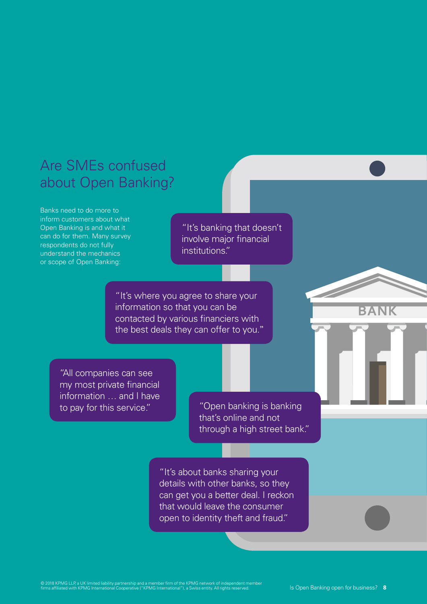# Are SMEs confused about Open Banking?

Banks need to do more to inform customers about what Open Banking is and what it can do for them. Many survey respondents do not fully understand the mechanics or scope of Open Banking:

"It's banking that doesn't involve major financial institutions."

"It's where you agree to share your information so that you can be contacted by various financiers with the best deals they can offer to you."

"All companies can see my most private fnancial information … and I have to pay for this service."

"Open banking is banking that's online and not through a high street bank."

"It's about banks sharing your details with other banks, so they can get you a better deal. I reckon that would leave the consumer open to identity theft and fraud."

© 2018 KPMG LLP, a UK limited liability partnership and a member firm of the KPMG network of independent member<br>firms affiliated with KPMG International Cooperative ("KPMG International"), a Swiss entity. All rights reserv

<u>Santa Barat da Barat da Barat da Barat da Barat da Barat da Barat da Barat da Barat da Barat da Barat da Barat da Barat da Barat da Barat da Barat da Barat da Barat da Barat da Barat da Barat da Barat da Barat da Barat da</u>

**BANK**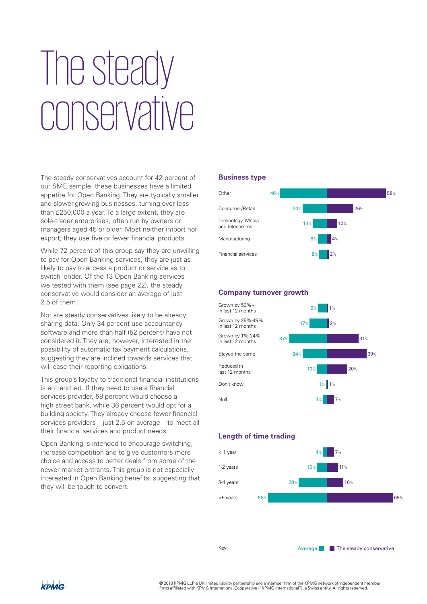# The steady conservative

The steady conservatives account for 42 percent of our SME sample; these businesses have a limited appetite for Open Banking. They are typically smaller and slower-growing businesses, turning over less than £250,000 a year. To a large extent, they are sole-trader enterprises, often run by owners or managers aged 45 or older. Most neither import nor export; they use five or fewer financial products.

While 72 percent of this group say they are unwilling to pay for Open Banking services, they are just as likely to pay to access a product or service as to switch lender. Of the 13 Open Banking services we tested with them (see page 22), the steady conservative would consider an average of just 2.5 of them.

Nor are steady conservatives likely to be already sharing data. Only 34 percent use accountancy software and more than half (52 percent) have not considered it. They are, however, interested in the possibility of automatic tax payment calculations, suggesting they are inclined towards services that will ease their reporting obligations.

This group's loyalty to traditional financial institutions is entrenched. If they need to use a financial services provider, 58 percent would choose a high street bank, while 36 percent would opt for a building society. They already choose fewer fnancial services providers – just 2.5 on average – to meet all their financial services and product needs.

Open Banking is intended to encourage switching, increase competition and to give customers more choice and access to better deals from some of the newer market entrants. This group is not especially interested in Open Banking benefits, suggesting that they will be tough to convert.

#### **Business type**



#### **Company turnover growth**



#### **Length of time trading**



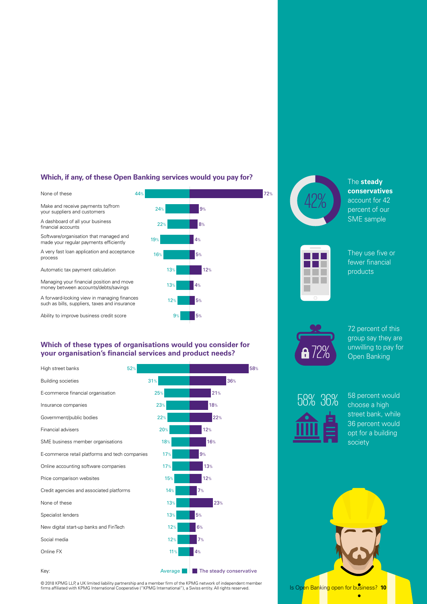#### **Which, if any, of these Open Banking services would you pay for?**

None of these 44% 72% Make and receive payments to/from<br>your suppliers and customers 24%

A dashboard of all your business  $22<sup>2</sup>$ financial accounts

Software/organisation that managed and<br>made your regular payments efficiently<br>19%

A very fast loan application and acceptance  $16\%$ process

Automatic tax payment calculation 13% 13% 12%

Managing your financial position and move 13% money between accounts/debts/savings

A forward-looking view in managing finances such as bills, suppliers, taxes and insurance

Ability to improve business credit score



12%



© 2018 KPMG LLP, a UK limited liability partnership and a member firm of the KPMG network of independent member<br>firms affiliated with KPMG International Cooperative ("KPMG International"), a Swiss entity. All rights reserv



The **steady conservatives**  account for 42 percent of our SME sample



They use five or fewer financial products



72 percent of this group say they are unwilling to pay for Open Banking



58 percent would choose a high street bank, while 36 percent would opt for a building society



**A** 

Is Open Banking open for business? **10**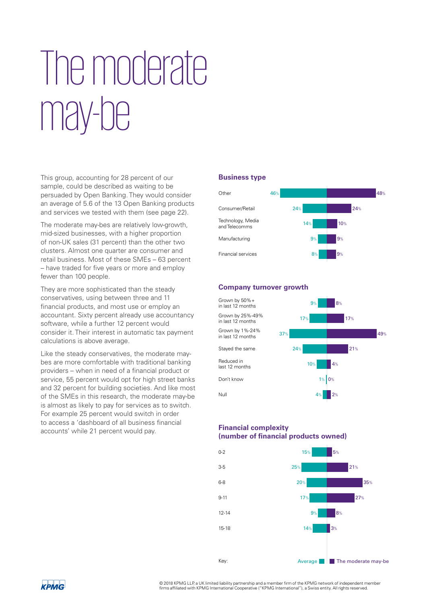# I he moderate mav-he

This group, accounting for 28 percent of our sample, could be described as waiting to be persuaded by Open Banking. They would consider an average of 5.6 of the 13 Open Banking products and services we tested with them (see page 22).

The moderate may-bes are relatively low-growth, mid-sized businesses, with a higher proportion of non-UK sales (31 percent) than the other two clusters. Almost one quarter are consumer and retail business. Most of these SMEs – 63 percent – have traded for five years or more and employ fewer than 100 people.

They are more sophisticated than the steady conservatives, using between three and 11 financial products, and most use or employ an accountant. Sixty percent already use accountancy software, while a further 12 percent would consider it. Their interest in automatic tax payment calculations is above average.

Like the steady conservatives, the moderate maybes are more comfortable with traditional banking providers – when in need of a fnancial product or service, 55 percent would opt for high street banks and 32 percent for building societies. And like most of the SMEs in this research, the moderate may-be is almost as likely to pay for services as to switch. For example 25 percent would switch in order to access a 'dashboard of all business fnancial accounts' while 21 percent would pay.

#### **Business type**



#### **Company turnover growth**



#### **Financial complexity (number of fnancial products owned)**



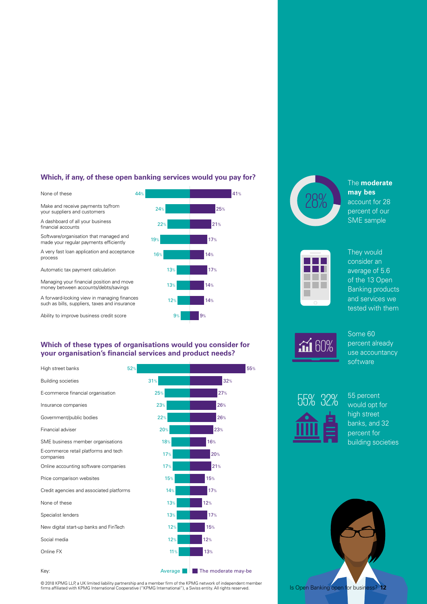#### **Which, if any, of these open banking services would you pay for?**

None of these Make and receive payments to/from your suppliers and customers

A dashboard of all your business fnancial accounts

Software/organisation that managed and made your regular payments efficiently

A very fast loan application and acceptance process

Automatic tax payment calculation

Managing your fnancial position and move money between accounts/debts/savings

A forward-looking view in managing fnances such as bills, suppliers, taxes and insurance

Ability to improve business credit score



#### **Which of these types of organisations would you consider for your organisation's fnancial services and product needs?**

| High street banks                                 | 52%     | 55%                 |
|---------------------------------------------------|---------|---------------------|
| <b>Building societies</b>                         | 31%     | 32%                 |
| E-commerce financial organisation                 | 25%     | 27%                 |
| Insurance companies                               | 23%     | 26%                 |
| Government/public bodies                          | 22%     | 26%                 |
| Financial adviser                                 | 20%     | 23%                 |
| SME business member organisations                 | 18%     | 16%                 |
| E-commerce retail platforms and tech<br>companies | 17%     | 20%                 |
| Online accounting software companies              | 17%     | 21%                 |
| Price comparison websites                         | 15%     | 15%                 |
| Credit agencies and associated platforms          | 14%     | 17%                 |
| None of these                                     | 13%     | 12%                 |
| Specialist lenders                                | 13%     | 17%                 |
| New digital start-up banks and FinTech            | 12%     | 15%                 |
| Social media                                      | 12%     | 12%                 |
| Online FX                                         | 11%     | 13%                 |
| Key:                                              | Average | The moderate may-be |



The **moderate**  may bes account for 28 percent of our SME sample







Some 60 percent already use accountancy software



55 percent would opt for high street banks, and 32 percent for building societies

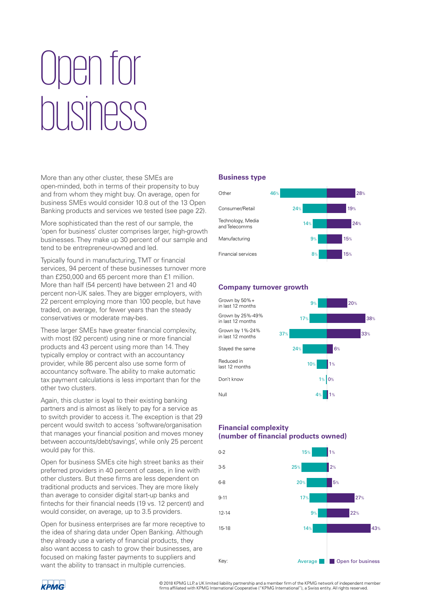# Open for business

More than any other cluster, these SMEs are open-minded, both in terms of their propensity to buy and from whom they might buy. On average, open for business SMEs would consider 10.8 out of the 13 Open Banking products and services we tested (see page 22).

More sophisticated than the rest of our sample, the 'open for business' cluster comprises larger, high-growth businesses. They make up 30 percent of our sample and tend to be entrepreneur-owned and led.

Typically found in manufacturing, TMT or fnancial services, 94 percent of these businesses turnover more than £250,000 and 65 percent more than £1 million. More than half (54 percent) have between 21 and 40 percent non-UK sales. They are bigger employers, with 22 percent employing more than 100 people, but have traded, on average, for fewer years than the steady conservatives or moderate may-bes.

These larger SMEs have greater financial complexity, with most (92 percent) using nine or more financial products and 43 percent using more than 14. They typically employ or contract with an accountancy provider, while 86 percent also use some form of accountancy software. The ability to make automatic tax payment calculations is less important than for the other two clusters.

Again, this cluster is loyal to their existing banking partners and is almost as likely to pay for a service as to switch provider to access it. The exception is that 29 percent would switch to access 'software/organisation that manages your financial position and moves money between accounts/debt/savings', while only 25 percent would pay for this.

Open for business SMEs cite high street banks as their preferred providers in 40 percent of cases, in line with other clusters. But these frms are less dependent on traditional products and services. They are more likely than average to consider digital start-up banks and fintechs for their financial needs (19 vs. 12 percent) and would consider, on average, up to 3.5 providers.

Open for business enterprises are far more receptive to the idea of sharing data under Open Banking. Although they already use a variety of financial products, they also want access to cash to grow their businesses, are focused on making faster payments to suppliers and want the ability to transact in multiple currencies.

#### **Business type**



#### **Company turnover growth**



#### **Financial complexity (number of fnancial products owned)**



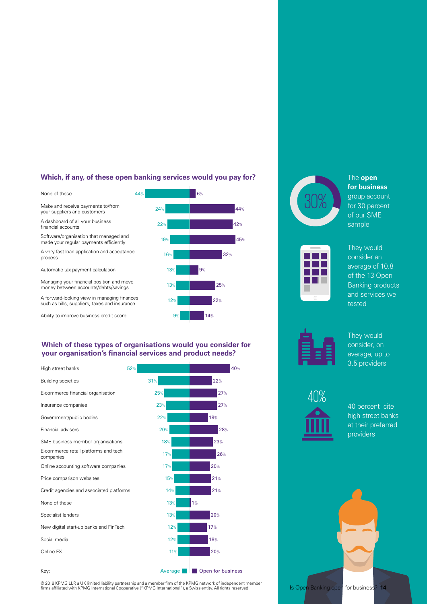#### **Which, if any, of these open banking services would you pay for?**

44% **6%** 6% 24% **44% and 24%** and 24% 22% **42%** and the state of the state of the state of the state of the state of the state of the state of the state of the state of the state of the state of the state of the state of the state of the state of the state of 19% **45%** and the second term of the second second term  $45\%$ 16% 32% 32%  $13<sup>°</sup>$ 13% 25% 12% 22% None of these Make and receive payments to/from your suppliers and customers A dashboard of all your business fnancial accounts Software/organisation that managed and made your regular payments efficiently A very fast loan application and acceptance process Automatic tax payment calculation Managing your financial position and move money between accounts/debts/savings A forward-looking view in managing fnances such as bills, suppliers, taxes and insurance

Ability to improve business credit score



 $9\%$  14% 14%





The **open for business**  group account for 30 percent of our SME sample



They would consider an average of 10.8 of the 13 Open Banking products and services we tested



They would consider, on average, up to 3.5 providers



40 percent cite high street banks at their preferred providers

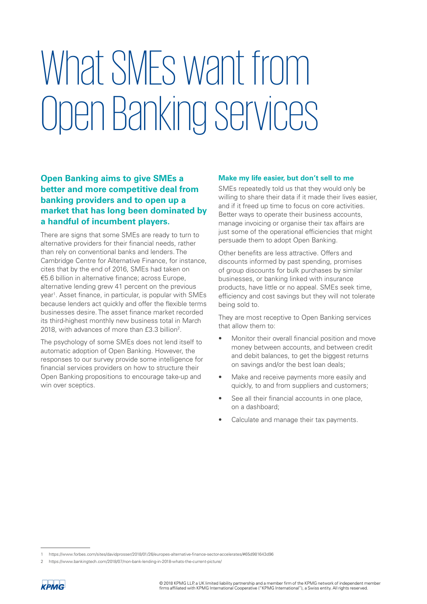# What SMEs want from Open Banking services

### **Open Banking aims to give SMEs a better and more competitive deal from banking providers and to open up a market that has long been dominated by a handful of incumbent players.**

There are signs that some SMEs are ready to turn to alternative providers for their financial needs, rather than rely on conventional banks and lenders. The Cambridge Centre for Alternative Finance, for instance, cites that by the end of 2016, SMEs had taken on €5.6 billion in alternative fnance; across Europe, alternative lending grew 41 percent on the previous year<sup>1</sup>. Asset finance, in particular, is popular with SMEs because lenders act quickly and offer the flexible terms businesses desire. The asset fnance market recorded its third-highest monthly new business total in March 2018, with advances of more than £3.3 billion<sup>2</sup>.

The psychology of some SMEs does not lend itself to automatic adoption of Open Banking. However, the responses to our survey provide some intelligence for financial services providers on how to structure their Open Banking propositions to encourage take-up and win over sceptics.

#### **Make my life easier, but don't sell to me**

SMEs repeatedly told us that they would only be willing to share their data if it made their lives easier, and if it freed up time to focus on core activities. Better ways to operate their business accounts, manage invoicing or organise their tax affairs are just some of the operational efficiencies that might persuade them to adopt Open Banking.

Other benefits are less attractive. Offers and discounts informed by past spending, promises of group discounts for bulk purchases by similar businesses, or banking linked with insurance products, have little or no appeal. SMEs seek time, efficiency and cost savings but they will not tolerate being sold to.

They are most receptive to Open Banking services that allow them to:

- Monitor their overall financial position and move money between accounts, and between credit and debit balances, to get the biggest returns on savings and/or the best loan deals;
- Make and receive payments more easily and quickly, to and from suppliers and customers;
- See all their financial accounts in one place, on a dashboard;
- Calculate and manage their tax payments.

<sup>1</sup> https://www.forbes.com/sites/davidprosser/2018/01/26/europes-alternative-fnance-sector-accelerates/#65d981643d96

<sup>2</sup> https://www.bankingtech.com/2018/07/non-bank-lending-in-2018-whats-the-current-picture/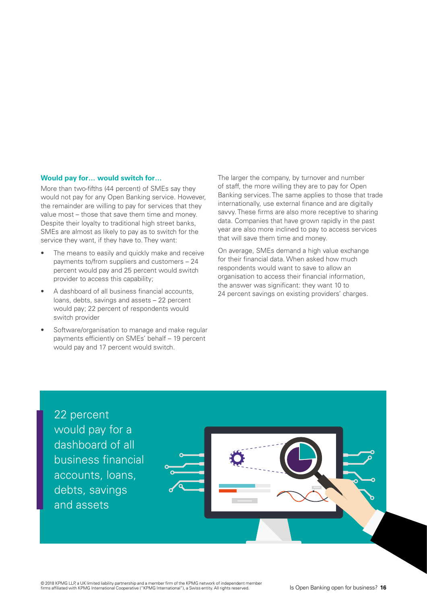#### **Would pay for… would switch for…**

More than two-fifths (44 percent) of SMEs say they would not pay for any Open Banking service. However, the remainder are willing to pay for services that they value most – those that save them time and money. Despite their loyalty to traditional high street banks, SMEs are almost as likely to pay as to switch for the service they want, if they have to. They want:

- The means to easily and quickly make and receive payments to/from suppliers and customers – 24 percent would pay and 25 percent would switch provider to access this capability;
- A dashboard of all business financial accounts, loans, debts, savings and assets – 22 percent would pay; 22 percent of respondents would switch provider
- Software/organisation to manage and make regular payments efficiently on SMEs' behalf - 19 percent would pay and 17 percent would switch.

The larger the company, by turnover and number of staff, the more willing they are to pay for Open Banking services. The same applies to those that trade internationally, use external finance and are digitally savvy. These firms are also more receptive to sharing data. Companies that have grown rapidly in the past year are also more inclined to pay to access services that will save them time and money.

On average, SMEs demand a high value exchange for their fnancial data. When asked how much respondents would want to save to allow an organisation to access their fnancial information, the answer was significant: they want 10 to 24 percent savings on existing providers' charges.

22 percent would pay for a dashboard of all business financial accounts, loans, debts, savings and assets

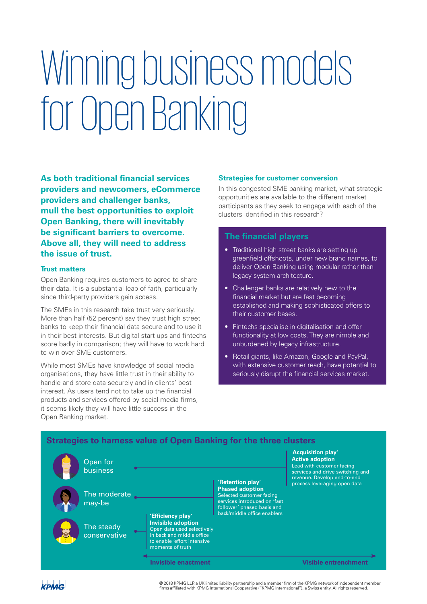# Winning business models for Open Banking

providers and challenger banks, **As both traditional fnancial services providers and newcomers, eCommerce providers and challenger banks, mull the best opportunities to exploit Open Banking, there will inevitably be significant barriers to overcome. Above all, they will need to address the issue of trust.** 

#### **Trust matters**

Open Banking requires customers to agree to share their data. It is a substantial leap of faith, particularly since third-party providers gain access.

The SMEs in this research take trust very seriously. More than half (52 percent) say they trust high street banks to keep their fnancial data secure and to use it in their best interests. But digital start-ups and fintechs score badly in comparison; they will have to work hard to win over SME customers.

While most SMEs have knowledge of social media organisations, they have little trust in their ability to handle and store data securely and in clients' best interest. As users tend not to take up the financial products and services offered by social media firms, it seems likely they will have little success in the Open Banking market.

#### **Strategies for customer conversion**

In this congested SME banking market, what strategic opportunities are available to the different market participants as they seek to engage with each of the clusters identifed in this research?

#### **The financial players**

- Traditional high street banks are setting up greenfield offshoots, under new brand names, to deliver Open Banking using modular rather than legacy system architecture.
- Challenger banks are relatively new to the financial market but are fast becoming established and making sophisticated offers to their customer bases.
- Fintechs specialise in digitalisation and offer functionality at low costs. They are nimble and unburdened by legacy infrastructure.
- Retail giants, like Amazon, Google and PayPal, with extensive customer reach, have potential to seriously disrupt the financial services market.

#### **Strategies to harness value of Open Banking for the three clusters**



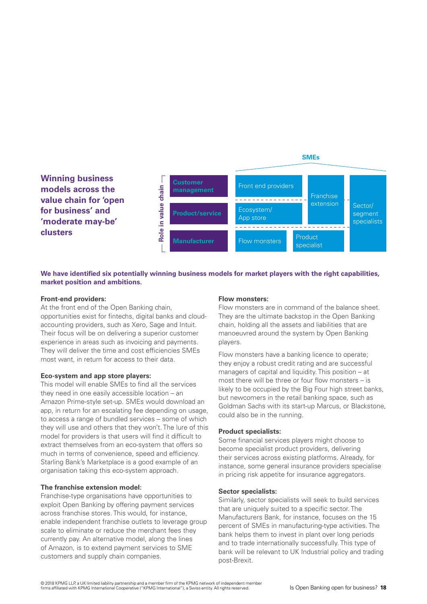

**We have identifed six potentially winning business models for market players with the right capabilities, market position and ambitions.** 

#### **Front-end providers:**

At the front end of the Open Banking chain, opportunities exist for fntechs, digital banks and cloudaccounting providers, such as Xero, Sage and Intuit. Their focus will be on delivering a superior customer experience in areas such as invoicing and payments. They will deliver the time and cost efficiencies SMEs most want, in return for access to their data.

#### **Eco-system and app store players:**

This model will enable SMEs to find all the services they need in one easily accessible location – an Amazon Prime-style set-up. SMEs would download an app, in return for an escalating fee depending on usage, to access a range of bundled services – some of which they will use and others that they won't. The lure of this model for providers is that users will find it difficult to extract themselves from an eco-system that offers so much in terms of convenience, speed and efficiency. Starling Bank's Marketplace is a good example of an organisation taking this eco-system approach.

#### **The franchise extension model:**

Franchise-type organisations have opportunities to exploit Open Banking by offering payment services across franchise stores. This would, for instance, enable independent franchise outlets to leverage group scale to eliminate or reduce the merchant fees they currently pay. An alternative model, along the lines of Amazon, is to extend payment services to SME customers and supply chain companies.

#### **Flow monsters:**

Flow monsters are in command of the balance sheet. They are the ultimate backstop in the Open Banking chain, holding all the assets and liabilities that are manoeuvred around the system by Open Banking players.

Flow monsters have a banking licence to operate; they enjoy a robust credit rating and are successful managers of capital and liquidity. This position – at most there will be three or four flow monsters  $-$  is likely to be occupied by the Big Four high street banks, but newcomers in the retail banking space, such as Goldman Sachs with its start-up Marcus, or Blackstone, could also be in the running.

#### **Product specialists:**

Some financial services players might choose to become specialist product providers, delivering their services across existing platforms. Already, for instance, some general insurance providers specialise in pricing risk appetite for insurance aggregators.

#### **Sector specialists:**

Similarly, sector specialists will seek to build services that are uniquely suited to a specific sector. The Manufacturers Bank, for instance, focuses on the 15 percent of SMEs in manufacturing-type activities. The bank helps them to invest in plant over long periods and to trade internationally successfully. This type of bank will be relevant to UK Industrial policy and trading post-Brexit.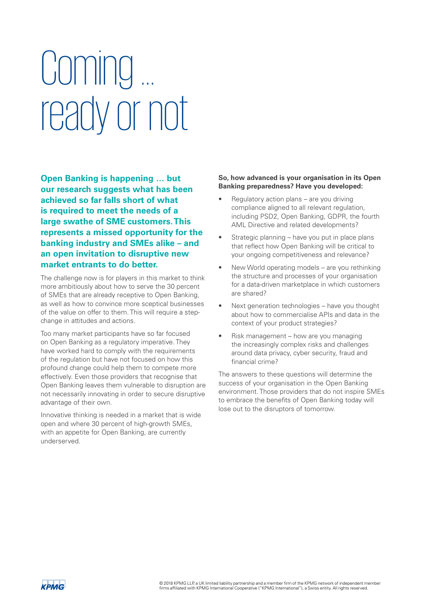# Coming … ready or not

**Open Banking is happening … but our research suggests what has been achieved so far falls short of what is required to meet the needs of a large swathe of SME customers.This represents a missed opportunity for the banking industry and SMEs alike – and an open invitation to disruptive new market entrants to do better.** 

The challenge now is for players in this market to think more ambitiously about how to serve the 30 percent of SMEs that are already receptive to Open Banking, as well as how to convince more sceptical businesses of the value on offer to them. This will require a stepchange in attitudes and actions.

Too many market participants have so far focused on Open Banking as a regulatory imperative. They have worked hard to comply with the requirements of the regulation but have not focused on how this profound change could help them to compete more effectively. Even those providers that recognise that Open Banking leaves them vulnerable to disruption are not necessarily innovating in order to secure disruptive advantage of their own.

Innovative thinking is needed in a market that is wide open and where 30 percent of high-growth SMEs, with an appetite for Open Banking, are currently underserved.

#### **So, how advanced is your organisation in its Open Banking preparedness? Have you developed:**

- Regulatory action plans are you driving compliance aligned to all relevant regulation, including PSD2, Open Banking, GDPR, the fourth AML Directive and related developments?
- Strategic planning have you put in place plans that reflect how Open Banking will be critical to your ongoing competitiveness and relevance?
- New World operating models are you rethinking the structure and processes of your organisation for a data-driven marketplace in which customers are shared?
- Next generation technologies have you thought about how to commercialise APIs and data in the context of your product strategies?
- Risk management how are you managing the increasingly complex risks and challenges around data privacy, cyber security, fraud and financial crime?

The answers to these questions will determine the success of your organisation in the Open Banking environment. Those providers that do not inspire SMEs to embrace the benefits of Open Banking today will lose out to the disruptors of tomorrow.

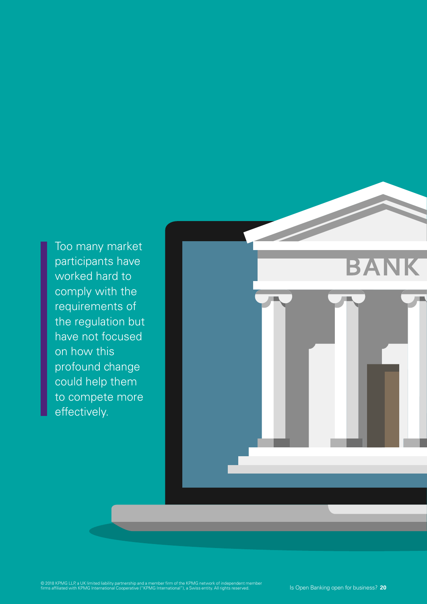Too many market participants have worked hard to comply with the requirements of the regulation but have not focused on how this profound change could help them to compete more effectively.

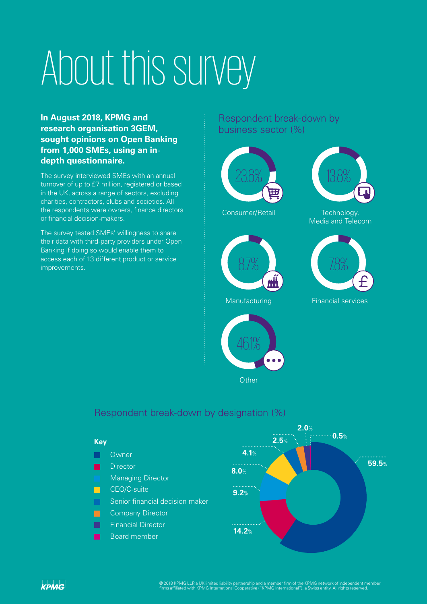# About this survey

 **depth questionnaire. - from 1,000 SMEs, using an in-In August 2018, KPMG and research organisation 3GEM, sought opinions on Open Banking** 

or financial decision-makers. The survey interviewed SMEs with an annual turnover of up to £7 million, registered or based in the UK, across a range of sectors, excluding charities, contractors, clubs and societies. All the respondents were owners, fnance directors

- their data with third-party providers under Open The survey tested SMEs' willingness to share Banking if doing so would enable them to access each of 13 different product or service improvements.

Respondent break-down by business sector (%)





Consumer/Retail



Manufacturing



**Other** 



Technology, Media and Telecom

Financial services

### Respondent break-down by designation (%)



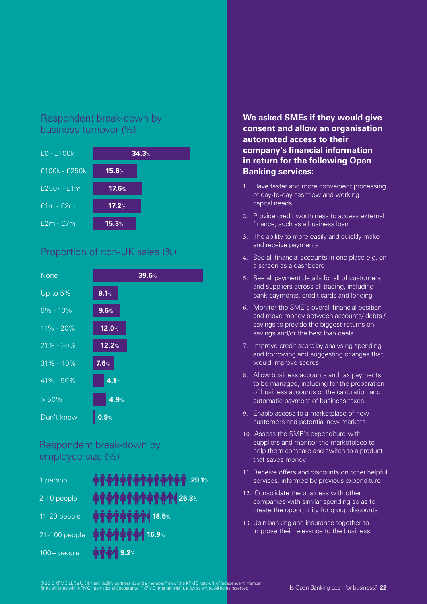# Respondent break-down by business turnover (%)



# Proportion of non-UK sales (%)



# Respondent break-down by employee size (%)

| 1 person      | $\bf \hat{A}$ $\bf \hat{A}$ $\bf \hat{A}$ $\bf \hat{A}$ $\bf \hat{A}$ $\bf \hat{A}$ $\bf \hat{A}$ $\bf \hat{A}$ $\bf \hat{A}$ $\bf \hat{A}$ $\bf \hat{A}$ $\bf \hat{A}$ $\bf \hat{A}$ $\bf \hat{A}$ $\bf \hat{A}$ $\bf \hat{A}$ $\bf \hat{A}$ $\bf \hat{A}$ $\bf \hat{A}$ $\bf \hat{A}$ $\bf \hat{A}$ $\bf \hat{A}$ $\bf \hat{A}$ |
|---------------|-----------------------------------------------------------------------------------------------------------------------------------------------------------------------------------------------------------------------------------------------------------------------------------------------------------------------------------|
| 2-10 people   | <b>ATATATATATAT1 26.3%</b>                                                                                                                                                                                                                                                                                                        |
| 11-20 people  | <b>ATATATAT1 18.5%</b>                                                                                                                                                                                                                                                                                                            |
| 21-100 people | <b>ATATATA1 16.9%</b>                                                                                                                                                                                                                                                                                                             |
| $100+$ people | <b>ATA1 9.2%</b>                                                                                                                                                                                                                                                                                                                  |

### **We asked SMEs if they would give consent and allow an organisation automated access to their company's financial information in return for the following Open Banking services:**

- of day-to-day cashflow and working 1. Have faster and more convenient processing capital needs
- 2. Provide credit worthiness to access external finance, such as a business loan
- 3. The ability to more easily and quickly make and receive payments
- 4. See all fnancial accounts in one place e.g. on a screen as a dashboard
- 5. See all payment details for all of customers and suppliers across all trading, including bank payments, credit cards and lending
- 6. Monitor the SME's overall fnancial position and move money between accounts/ debts / savings to provide the biggest returns on savings and/or the best loan deals
- 7. Improve credit score by analysing spending and borrowing and suggesting changes that would improve scores
- 8. Allow business accounts and tax payments to be managed, including for the preparation of business accounts or the calculation and automatic payment of business taxes
- 9. Enable access to a marketplace of new customers and potential new markets
- 10. Assess the SME's expenditure with suppliers and monitor the marketplace to help them compare and switch to a product that saves money
- 11. Receive offers and discounts on other helpful services, informed by previous expenditure
- 12. Consolidate the business with other companies with similar spending so as to create the opportunity for group discounts
- 13. Join banking and insurance together to improve their relevance to the business